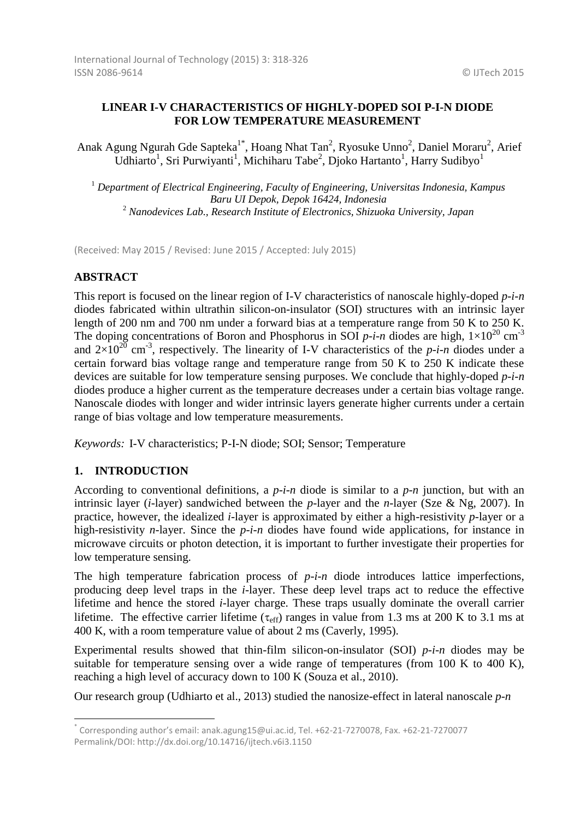# **LINEAR I-V CHARACTERISTICS OF HIGHLY-DOPED SOI P-I-N DIODE FOR LOW TEMPERATURE MEASUREMENT**

Anak Agung Ngurah Gde Sapteka<sup>1\*</sup>, Hoang Nhat Tan<sup>2</sup>, Ryosuke Unno<sup>2</sup>, Daniel Moraru<sup>2</sup>, Arief Udhiarto<sup>1</sup>, Sri Purwiyanti<sup>1</sup>, Michiharu Tabe<sup>2</sup>, Djoko Hartanto<sup>1</sup>, Harry Sudibyo<sup>1</sup>

<sup>1</sup> *Department of Electrical Engineering, Faculty of Engineering, Universitas Indonesia, Kampus Baru UI Depok, Depok 16424, Indonesia* <sup>2</sup> *Nanodevices Lab., Research Institute of Electronics, Shizuoka University, Japan*

(Received: May 2015 / Revised: June 2015 / Accepted: July 2015)

# **ABSTRACT**

This report is focused on the linear region of I-V characteristics of nanoscale highly-doped *p-i-n* diodes fabricated within ultrathin silicon-on-insulator (SOI) structures with an intrinsic layer length of 200 nm and 700 nm under a forward bias at a temperature range from 50 K to 250 K. The doping concentrations of Boron and Phosphorus in SOI  $p$ -*i*-*n* diodes are high,  $1 \times 10^{20}$  cm<sup>-3</sup> and  $2\times10^{20}$  cm<sup>-3</sup>, respectively. The linearity of I-V characteristics of the *p-i-n* diodes under a certain forward bias voltage range and temperature range from 50 K to 250 K indicate these devices are suitable for low temperature sensing purposes. We conclude that highly-doped *p-i-n* diodes produce a higher current as the temperature decreases under a certain bias voltage range. Nanoscale diodes with longer and wider intrinsic layers generate higher currents under a certain range of bias voltage and low temperature measurements.

*Keywords:* I-V characteristics; P-I-N diode; SOI; Sensor; Temperature

# **1. INTRODUCTION**

 $\overline{\phantom{a}}$ 

According to conventional definitions, a *p-i*-*n* diode is similar to a *p*-*n* junction, but with an intrinsic layer (*i*-layer) sandwiched between the *p*-layer and the *n*-layer (Sze & Ng, 2007). In practice, however, the idealized *i*-layer is approximated by either a high-resistivity *p*-layer or a high-resistivity *n*-layer. Since the *p*-*i*-*n* diodes have found wide applications, for instance in microwave circuits or photon detection, it is important to further investigate their properties for low temperature sensing.

The high temperature fabrication process of *p-i-n* diode introduces lattice imperfections, producing deep level traps in the *i*-layer. These deep level traps act to reduce the effective lifetime and hence the stored *i*-layer charge. These traps usually dominate the overall carrier lifetime. The effective carrier lifetime ( $\tau_{\text{eff}}$ ) ranges in value from 1.3 ms at 200 K to 3.1 ms at 400 K, with a room temperature value of about 2 ms (Caverly, 1995).

Experimental results showed that thin-film silicon-on-insulator (SOI) *p-i-n* diodes may be suitable for temperature sensing over a wide range of temperatures (from 100 K to 400 K), reaching a high level of accuracy down to 100 K (Souza et al., 2010).

Our research group (Udhiarto et al., 2013) studied the nanosize-effect in lateral nanoscale *p-n* 

<sup>\*</sup> Corresponding author's email: anak.agung15@ui.ac.id, Tel. +62-21-7270078, Fax. +62-21-7270077 Permalink/DOI: http://dx.doi.org/10.14716/ijtech.v6i3.1150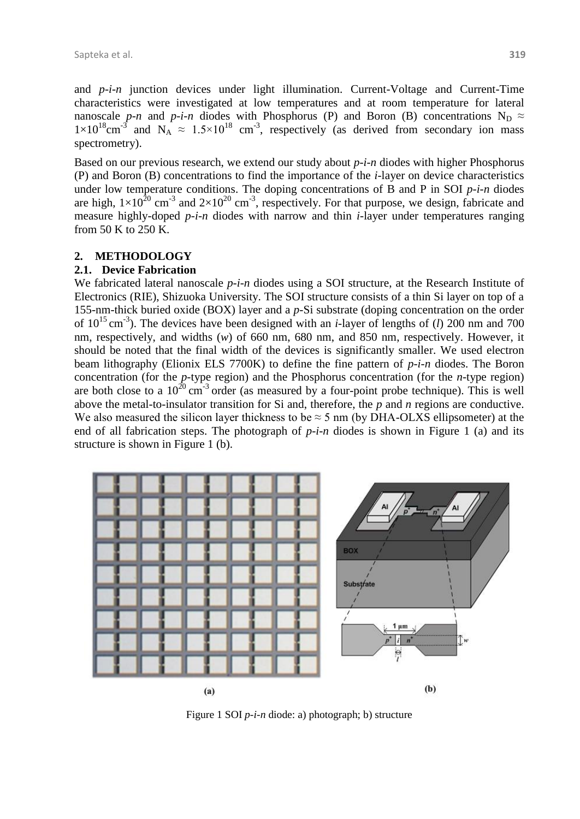and *p-i-n* junction devices under light illumination. Current-Voltage and Current-Time characteristics were investigated at low temperatures and at room temperature for lateral nanoscale *p-n* and *p-i-n* diodes with Phosphorus (P) and Boron (B) concentrations  $N_D \approx$  $1\times10^{18}$ cm<sup>-3</sup> and N<sub>A</sub>  $\approx 1.5\times10^{18}$  cm<sup>-3</sup>, respectively (as derived from secondary ion mass spectrometry).

Based on our previous research, we extend our study about *p-i-n* diodes with higher Phosphorus (P) and Boron (B) concentrations to find the importance of the *i*-layer on device characteristics under low temperature conditions. The doping concentrations of B and P in SOI *p-i-n* diodes are high,  $1\times10^{20}$  cm<sup>-3</sup> and  $2\times10^{20}$  cm<sup>-3</sup>, respectively. For that purpose, we design, fabricate and measure highly-doped *p-i-n* diodes with narrow and thin *i*-layer under temperatures ranging from 50 K to 250 K.

### **2. METHODOLOGY**

#### **2.1. Device Fabrication**

We fabricated lateral nanoscale *p-i-n* diodes using a SOI structure, at the Research Institute of Electronics (RIE), Shizuoka University. The SOI structure consists of a thin Si layer on top of a 155-nm-thick buried oxide (BOX) layer and a *p*-Si substrate (doping concentration on the order of 10 <sup>15</sup>cm-3 ). The devices have been designed with an *i*-layer of lengths of (*l*) 200 nm and 700 nm, respectively, and widths (*w*) of 660 nm, 680 nm, and 850 nm, respectively. However, it should be noted that the final width of the devices is significantly smaller. We used electron beam lithography (Elionix ELS 7700K) to define the fine pattern of *p-i-n* diodes. The Boron concentration (for the *p*-type region) and the Phosphorus concentration (for the *n*-type region) are both close to a  $10^{20}$  cm<sup>-3</sup> order (as measured by a four-point probe technique). This is well above the metal-to-insulator transition for Si and, therefore, the *p* and *n* regions are conductive. We also measured the silicon layer thickness to be  $\approx$  5 nm (by DHA-OLXS ellipsometer) at the end of all fabrication steps. The photograph of *p-i-n* diodes is shown in Figure 1 (a) and its structure is shown in Figure 1 (b).



Figure 1 SOI *p-i-n* diode: a) photograph; b) structure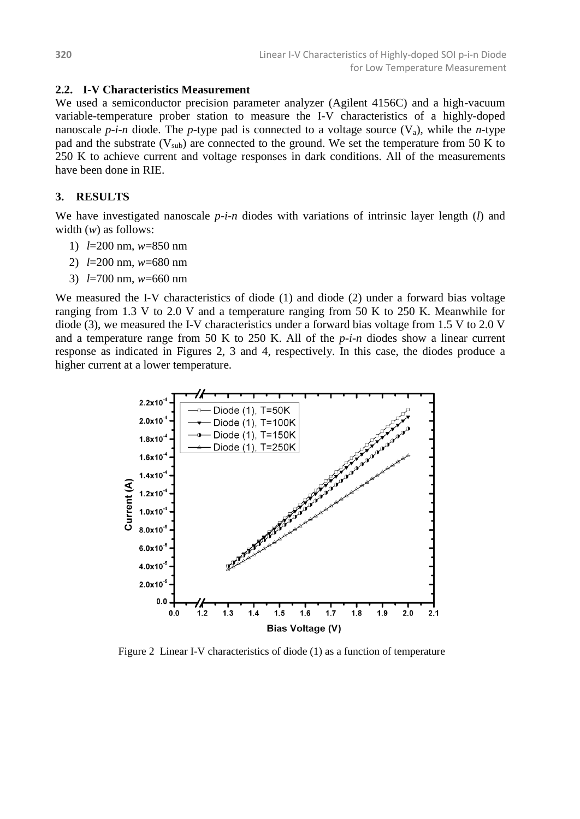### **2.2. I-V Characteristics Measurement**

We used a semiconductor precision parameter analyzer (Agilent 4156C) and a high-vacuum variable-temperature prober station to measure the I-V characteristics of a highly-doped nanoscale *p-i-n* diode. The *p*-type pad is connected to a voltage source  $(V_a)$ , while the *n*-type pad and the substrate  $(V_{sub})$  are connected to the ground. We set the temperature from 50 K to 250 K to achieve current and voltage responses in dark conditions. All of the measurements have been done in RIE.

### **3. RESULTS**

We have investigated nanoscale *p-i-n* diodes with variations of intrinsic layer length (*l*) and width (*w*) as follows:

- 1) *l*=200 nm, *w*=850 nm
- 2) *l*=200 nm, *w*=680 nm
- 3) *l*=700 nm, *w*=660 nm

We measured the I-V characteristics of diode (1) and diode (2) under a forward bias voltage ranging from 1.3 V to 2.0 V and a temperature ranging from 50 K to 250 K. Meanwhile for diode (3), we measured the I-V characteristics under a forward bias voltage from 1.5 V to 2.0 V and a temperature range from 50 K to 250 K. All of the *p-i-n* diodes show a linear current response as indicated in Figures 2, 3 and 4, respectively. In this case, the diodes produce a higher current at a lower temperature.



Figure 2 Linear I-V characteristics of diode (1) as a function of temperature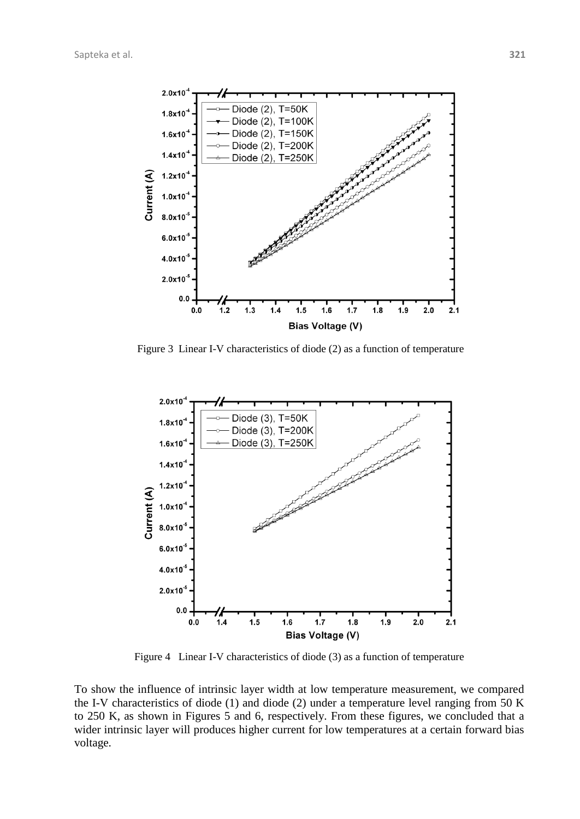

Figure 3 Linear I-V characteristics of diode (2) as a function of temperature



Figure 4 Linear I-V characteristics of diode (3) as a function of temperature

To show the influence of intrinsic layer width at low temperature measurement, we compared the I-V characteristics of diode (1) and diode (2) under a temperature level ranging from 50 K to 250 K, as shown in Figures 5 and 6, respectively. From these figures, we concluded that a wider intrinsic layer will produces higher current for low temperatures at a certain forward bias voltage.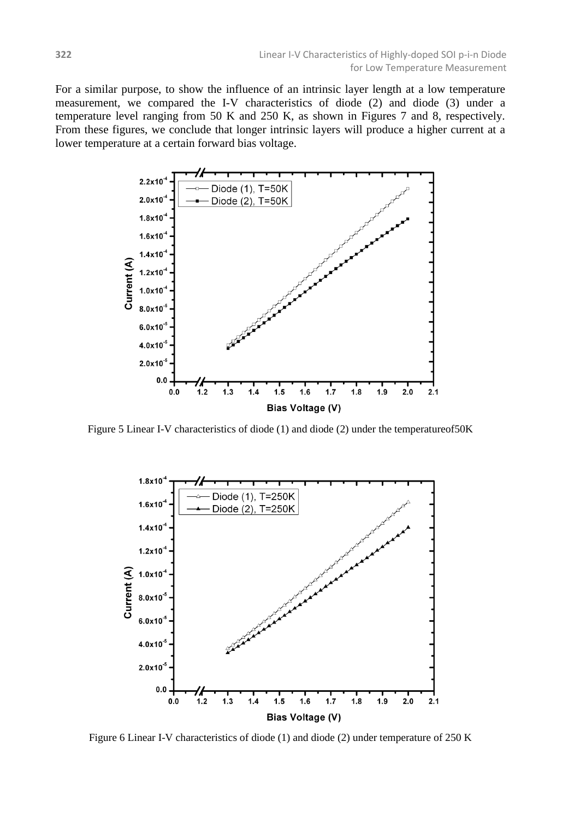For a similar purpose, to show the influence of an intrinsic layer length at a low temperature measurement, we compared the I-V characteristics of diode (2) and diode (3) under a temperature level ranging from 50 K and 250 K, as shown in Figures 7 and 8, respectively. From these figures, we conclude that longer intrinsic layers will produce a higher current at a lower temperature at a certain forward bias voltage.



Figure 5 Linear I-V characteristics of diode (1) and diode (2) under the temperatureof50K



Figure 6 Linear I-V characteristics of diode (1) and diode (2) under temperature of 250 K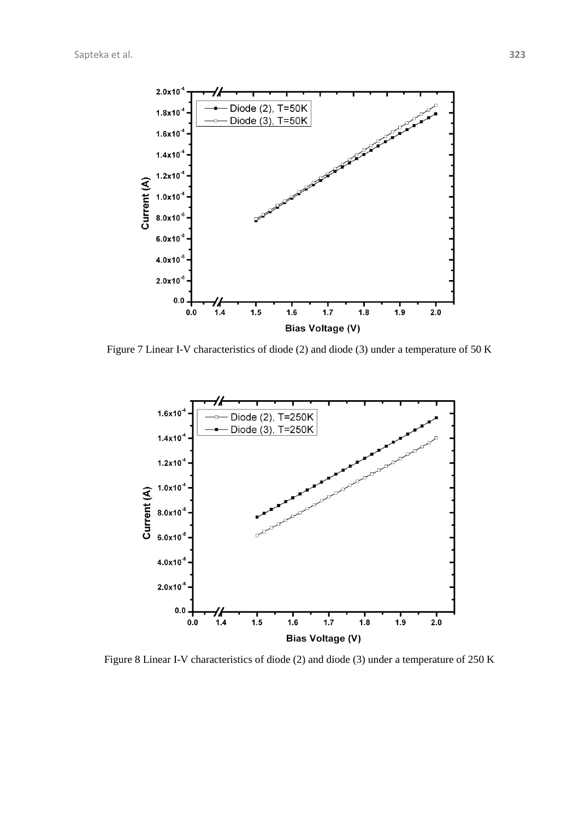

Figure 7 Linear I-V characteristics of diode (2) and diode (3) under a temperature of 50 K



Figure 8 Linear I-V characteristics of diode (2) and diode (3) under a temperature of 250 K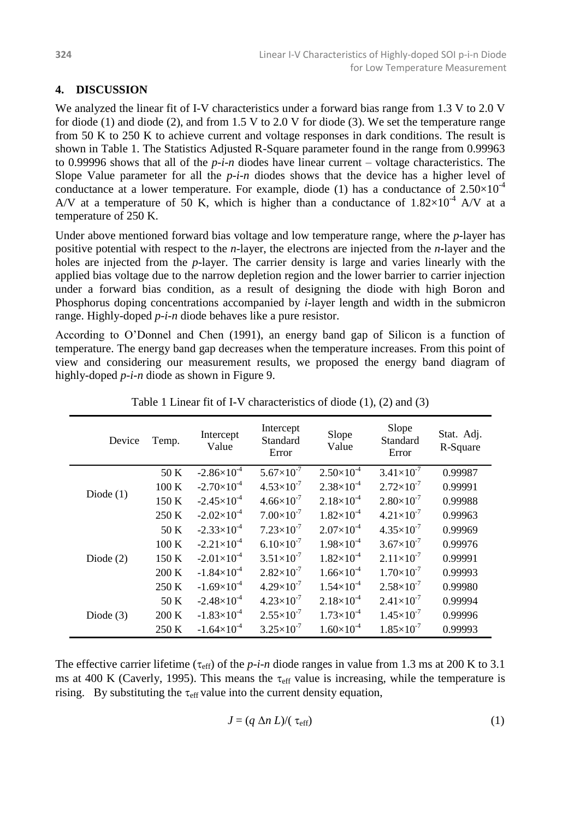# **4. DISCUSSION**

We analyzed the linear fit of I-V characteristics under a forward bias range from 1.3 V to 2.0 V for diode (1) and diode (2), and from 1.5 V to 2.0 V for diode (3). We set the temperature range from 50 K to 250 K to achieve current and voltage responses in dark conditions. The result is shown in Table 1. The Statistics Adjusted R-Square parameter found in the range from 0.99963 to 0.99996 shows that all of the *p-i-n* diodes have linear current – voltage characteristics. The Slope Value parameter for all the *p-i-n* diodes shows that the device has a higher level of conductance at a lower temperature. For example, diode (1) has a conductance of  $2.50\times10^{-4}$ A/V at a temperature of 50 K, which is higher than a conductance of  $1.82\times10^{-4}$  A/V at a temperature of 250 K.

Under above mentioned forward bias voltage and low temperature range, where the *p*-layer has positive potential with respect to the *n*-layer, the electrons are injected from the *n*-layer and the holes are injected from the *p*-layer. The carrier density is large and varies linearly with the applied bias voltage due to the narrow depletion region and the lower barrier to carrier injection under a forward bias condition, as a result of designing the diode with high Boron and Phosphorus doping concentrations accompanied by *i*-layer length and width in the submicron range. Highly-doped *p-i-n* diode behaves like a pure resistor.

According to O'Donnel and Chen (1991), an energy band gap of Silicon is a function of temperature. The energy band gap decreases when the temperature increases. From this point of view and considering our measurement results, we proposed the energy band diagram of highly-doped *p-i-n* diode as shown in Figure 9.

| Device      | Temp. | Intercept<br>Value     | Intercept<br>Standard<br>Error | Slope<br>Value      | Slope<br>Standard<br>Error | Stat. Adj.<br>R-Square |
|-------------|-------|------------------------|--------------------------------|---------------------|----------------------------|------------------------|
| Diode $(1)$ | 50 K  | $-2.86 \times 10^{-4}$ | $5.67\times10^{-7}$            | $2.50\times10^{-4}$ | $3.41\times10^{-7}$        | 0.99987                |
|             | 100 K | $-2.70\times10^{-4}$   | $4.53\times10^{-7}$            | $2.38\times10^{-4}$ | $2.72\times10^{-7}$        | 0.99991                |
|             | 150 K | $-2.45\times10^{-4}$   | $4.66\times10^{-7}$            | $2.18\times10^{-4}$ | $2.80\times10^{-7}$        | 0.99988                |
|             | 250 K | $-2.02\times10^{-4}$   | $7.00\times10^{-7}$            | $1.82\times10^{-4}$ | $4.21 \times 10^{-7}$      | 0.99963                |
| Diode $(2)$ | 50 K  | $-2.33\times10^{-4}$   | $7.23\times10^{-7}$            | $2.07\times10^{-4}$ | $4.35\times10^{-7}$        | 0.99969                |
|             | 100 K | $-2.21\times10^{-4}$   | $6.10\times10^{-7}$            | $1.98\times10^{-4}$ | $3.67\times10^{-7}$        | 0.99976                |
|             | 150 K | $-2.01\times10^{-4}$   | $3.51\times10^{-7}$            | $1.82\times10^{-4}$ | $2.11\times10^{-7}$        | 0.99991                |
|             | 200 K | $-1.84\times10^{-4}$   | $2.82\times10^{-7}$            | $1.66\times10^{-4}$ | $1.70\times10^{-7}$        | 0.99993                |
|             | 250 K | $-1.69\times10^{-4}$   | $4.29\times10^{-7}$            | $1.54\times10^{-4}$ | $2.58\times10^{-7}$        | 0.99980                |
| Diode $(3)$ | 50 K  | $-2.48\times10^{-4}$   | $4.23\times10^{-7}$            | $2.18\times10^{-4}$ | $2.41 \times 10^{-7}$      | 0.99994                |
|             | 200 K | $-1.83\times10^{-4}$   | $2.55 \times 10^{-7}$          | $1.73\times10^{-4}$ | $1.45\times10^{-7}$        | 0.99996                |
|             | 250 K | $-1.64\times10^{-4}$   | $3.25 \times 10^{-7}$          | $1.60\times10^{-4}$ | $1.85 \times 10^{-7}$      | 0.99993                |

Table 1 Linear fit of I-V characteristics of diode (1), (2) and (3)

The effective carrier lifetime ( $\tau_{\text{eff}}$ ) of the *p-i-n* diode ranges in value from 1.3 ms at 200 K to 3.1 ms at 400 K (Caverly, 1995). This means the  $\tau_{\text{eff}}$  value is increasing, while the temperature is rising. By substituting the  $\tau_{\text{eff}}$  value into the current density equation,

$$
J = (q \Delta n L) / (\tau_{\text{eff}}) \tag{1}
$$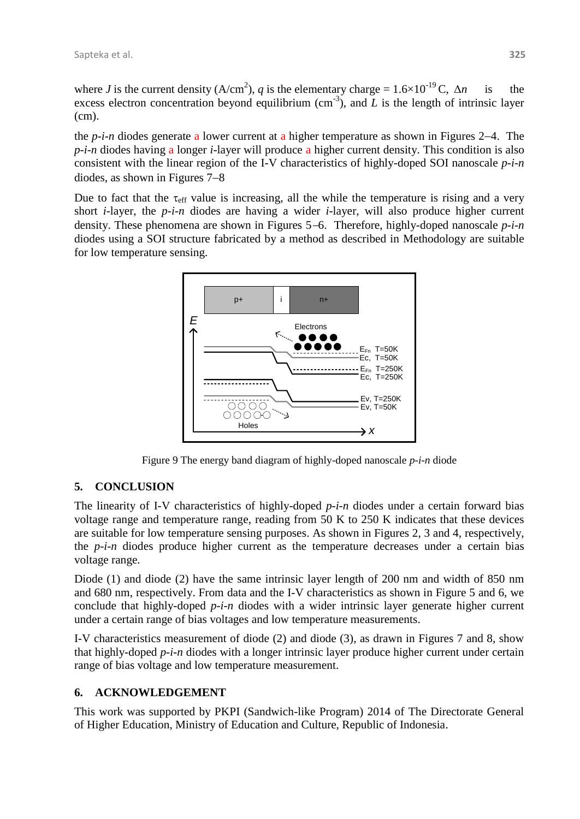where *J* is the current density (A/cm<sup>2</sup>), *q* is the elementary charge =  $1.6 \times 10^{-19}$  C,  $\Delta n$  is the excess electron concentration beyond equilibrium  $(cm<sup>-3</sup>)$ , and  $\overline{L}$  is the length of intrinsic layer (cm).

the  $p-i$ -n diodes generate a lower current at a higher temperature as shown in Figures 2–4. The *p-i-n* diodes having a longer *i*-layer will produce a higher current density. This condition is also consistent with the linear region of the I-V characteristics of highly-doped SOI nanoscale *p-i-n* diodes, as shown in Figures  $7-8$ 

Due to fact that the  $\tau_{\text{eff}}$  value is increasing, all the while the temperature is rising and a very short *i*-layer, the *p-i-n* diodes are having a wider *i*-layer, will also produce higher current density. These phenomena are shown in Figures 5–6. Therefore, highly-doped nanoscale *p-i-n* diodes using a SOI structure fabricated by a method as described in Methodology are suitable for low temperature sensing.



Figure 9 The energy band diagram of highly-doped nanoscale *p-i-n* diode

# **5. CONCLUSION**

The linearity of I-V characteristics of highly-doped *p-i-n* diodes under a certain forward bias voltage range and temperature range, reading from 50 K to 250 K indicates that these devices are suitable for low temperature sensing purposes. As shown in Figures 2, 3 and 4, respectively, the *p-i-n* diodes produce higher current as the temperature decreases under a certain bias voltage range.

Diode (1) and diode (2) have the same intrinsic layer length of 200 nm and width of 850 nm and 680 nm, respectively. From data and the I-V characteristics as shown in Figure 5 and 6, we conclude that highly-doped *p-i-n* diodes with a wider intrinsic layer generate higher current under a certain range of bias voltages and low temperature measurements.

I-V characteristics measurement of diode (2) and diode (3), as drawn in Figures 7 and 8, show that highly-doped *p-i-n* diodes with a longer intrinsic layer produce higher current under certain range of bias voltage and low temperature measurement.

# **6. ACKNOWLEDGEMENT**

This work was supported by PKPI (Sandwich-like Program) 2014 of The Directorate General of Higher Education, Ministry of Education and Culture, Republic of Indonesia.